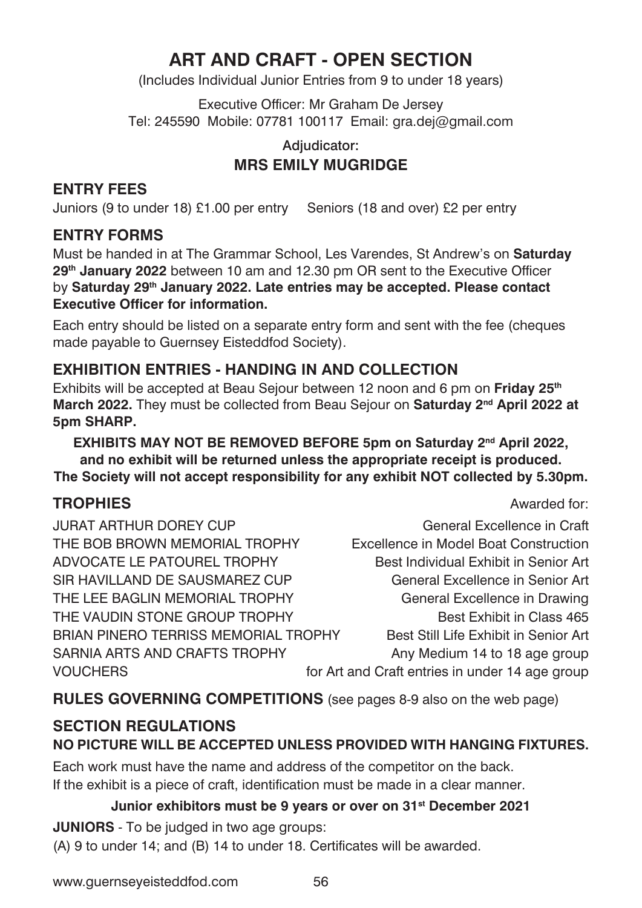# **ART AND CRAFT - OPEN SECTION**

(Includes Individual Junior Entries from 9 to under 18 years)

Executive Officer: Mr Graham De Jersey Tel: 245590 Mobile: 07781 100117 Email: gra.dej@gmail.com

### Adjudicator: **MRS EMILY MUGRIDGE**

#### **ENTRY FEES**

Juniors (9 to under 18) £1.00 per entry Seniors (18 and over) £2 per entry

### **ENTRY FORMS**

Must be handed in at The Grammar School, Les Varendes, St Andrew's on **Saturday 29th January 2022** between 10 am and 12.30 pm OR sent to the Executive Officer by **Saturday 29th January 2022. Late entries may be accepted. Please contact Executive Officer for information.**

Each entry should be listed on a separate entry form and sent with the fee (cheques made payable to Guernsey Eisteddfod Society).

### **EXHIBITION ENTRIES - HANDING IN AND COLLECTION**

Exhibits will be accepted at Beau Sejour between 12 noon and 6 pm on **Friday 25th March 2022.** They must be collected from Beau Sejour on **Saturday 2nd April 2022 at 5pm SHARP.**

**EXHIBITS MAY NOT BE REMOVED BEFORE 5pm on Saturday 2nd April 2022, and no exhibit will be returned unless the appropriate receipt is produced. The Society will not accept responsibility for any exhibit NOT collected by 5.30pm.**

### **TROPHIES** Awarded for:

JURAT ARTHUR DOREY CUP General Excellence in Craft THE BOB BROWN MEMORIAL TROPHY Excellence in Model Boat Construction ADVOCATE LE PATOUREL TROPHY Best Individual Exhibit in Senior Art SIR HAVILLAND DE SAUSMAREZ CUP General Excellence in Senior Art THE LEE BAGLIN MEMORIAL TROPHY General Excellence in Drawing THE VAUDIN STONE GROUP TROPHY Best Exhibit in Class 465 BRIAN PINERO TERRISS MEMORIAL TROPHY Best Still Life Exhibit in Senior Art SARNIA ARTS AND CRAFTS TROPHY Any Medium 14 to 18 age group VOUCHERS **For Art and Craft entries in under 14 age group** 

**RULES GOVERNING COMPETITIONS** (see pages 8-9 also on the web page)

## **SECTION REGULATIONS NO PICTURE WILL BE ACCEPTED UNLESS PROVIDED WITH HANGING FIXTURES.**

Each work must have the name and address of the competitor on the back. If the exhibit is a piece of craft, identification must be made in a clear manner.

#### **Junior exhibitors must be 9 years or over on 31st December 2021**

**JUNIORS** - To be judged in two age groups:

(A) 9 to under 14; and (B) 14 to under 18. Certificates will be awarded.